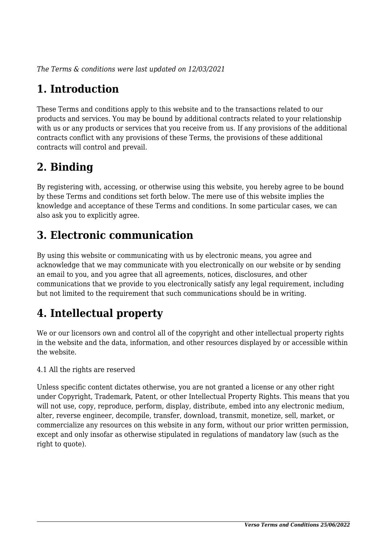*The Terms & conditions were last updated on 12/03/2021*

# **1. Introduction**

These Terms and conditions apply to this website and to the transactions related to our products and services. You may be bound by additional contracts related to your relationship with us or any products or services that you receive from us. If any provisions of the additional contracts conflict with any provisions of these Terms, the provisions of these additional contracts will control and prevail.

## **2. Binding**

By registering with, accessing, or otherwise using this website, you hereby agree to be bound by these Terms and conditions set forth below. The mere use of this website implies the knowledge and acceptance of these Terms and conditions. In some particular cases, we can also ask you to explicitly agree.

## **3. Electronic communication**

By using this website or communicating with us by electronic means, you agree and acknowledge that we may communicate with you electronically on our website or by sending an email to you, and you agree that all agreements, notices, disclosures, and other communications that we provide to you electronically satisfy any legal requirement, including but not limited to the requirement that such communications should be in writing.

# **4. Intellectual property**

We or our licensors own and control all of the copyright and other intellectual property rights in the website and the data, information, and other resources displayed by or accessible within the website.

4.1 All the rights are reserved

Unless specific content dictates otherwise, you are not granted a license or any other right under Copyright, Trademark, Patent, or other Intellectual Property Rights. This means that you will not use, copy, reproduce, perform, display, distribute, embed into any electronic medium, alter, reverse engineer, decompile, transfer, download, transmit, monetize, sell, market, or commercialize any resources on this website in any form, without our prior written permission, except and only insofar as otherwise stipulated in regulations of mandatory law (such as the right to quote).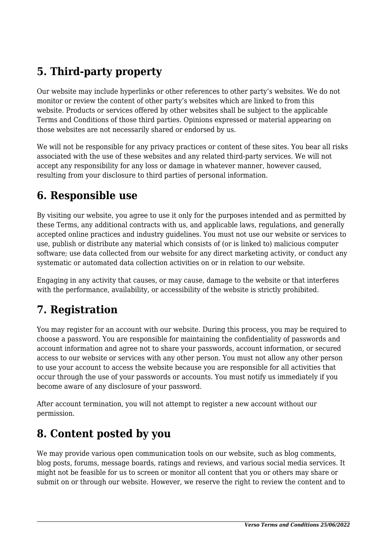# **5. Third-party property**

Our website may include hyperlinks or other references to other party's websites. We do not monitor or review the content of other party's websites which are linked to from this website. Products or services offered by other websites shall be subject to the applicable Terms and Conditions of those third parties. Opinions expressed or material appearing on those websites are not necessarily shared or endorsed by us.

We will not be responsible for any privacy practices or content of these sites. You bear all risks associated with the use of these websites and any related third-party services. We will not accept any responsibility for any loss or damage in whatever manner, however caused, resulting from your disclosure to third parties of personal information.

#### **6. Responsible use**

By visiting our website, you agree to use it only for the purposes intended and as permitted by these Terms, any additional contracts with us, and applicable laws, regulations, and generally accepted online practices and industry guidelines. You must not use our website or services to use, publish or distribute any material which consists of (or is linked to) malicious computer software; use data collected from our website for any direct marketing activity, or conduct any systematic or automated data collection activities on or in relation to our website.

Engaging in any activity that causes, or may cause, damage to the website or that interferes with the performance, availability, or accessibility of the website is strictly prohibited.

### **7. Registration**

You may register for an account with our website. During this process, you may be required to choose a password. You are responsible for maintaining the confidentiality of passwords and account information and agree not to share your passwords, account information, or secured access to our website or services with any other person. You must not allow any other person to use your account to access the website because you are responsible for all activities that occur through the use of your passwords or accounts. You must notify us immediately if you become aware of any disclosure of your password.

After account termination, you will not attempt to register a new account without our permission.

### **8. Content posted by you**

We may provide various open communication tools on our website, such as blog comments, blog posts, forums, message boards, ratings and reviews, and various social media services. It might not be feasible for us to screen or monitor all content that you or others may share or submit on or through our website. However, we reserve the right to review the content and to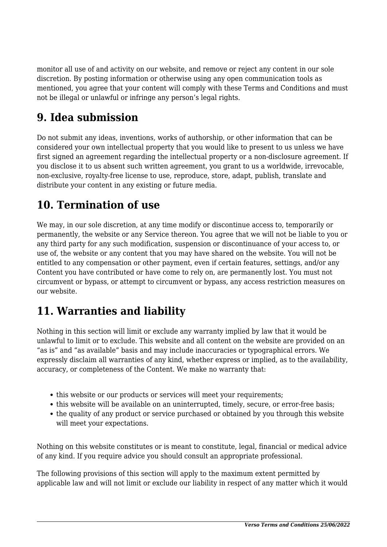monitor all use of and activity on our website, and remove or reject any content in our sole discretion. By posting information or otherwise using any open communication tools as mentioned, you agree that your content will comply with these Terms and Conditions and must not be illegal or unlawful or infringe any person's legal rights.

### **9. Idea submission**

Do not submit any ideas, inventions, works of authorship, or other information that can be considered your own intellectual property that you would like to present to us unless we have first signed an agreement regarding the intellectual property or a non-disclosure agreement. If you disclose it to us absent such written agreement, you grant to us a worldwide, irrevocable, non-exclusive, royalty-free license to use, reproduce, store, adapt, publish, translate and distribute your content in any existing or future media.

## **10. Termination of use**

We may, in our sole discretion, at any time modify or discontinue access to, temporarily or permanently, the website or any Service thereon. You agree that we will not be liable to you or any third party for any such modification, suspension or discontinuance of your access to, or use of, the website or any content that you may have shared on the website. You will not be entitled to any compensation or other payment, even if certain features, settings, and/or any Content you have contributed or have come to rely on, are permanently lost. You must not circumvent or bypass, or attempt to circumvent or bypass, any access restriction measures on our website.

## **11. Warranties and liability**

Nothing in this section will limit or exclude any warranty implied by law that it would be unlawful to limit or to exclude. This website and all content on the website are provided on an "as is" and "as available" basis and may include inaccuracies or typographical errors. We expressly disclaim all warranties of any kind, whether express or implied, as to the availability, accuracy, or completeness of the Content. We make no warranty that:

- this website or our products or services will meet your requirements:
- this website will be available on an uninterrupted, timely, secure, or error-free basis;
- the quality of any product or service purchased or obtained by you through this website will meet your expectations.

Nothing on this website constitutes or is meant to constitute, legal, financial or medical advice of any kind. If you require advice you should consult an appropriate professional.

The following provisions of this section will apply to the maximum extent permitted by applicable law and will not limit or exclude our liability in respect of any matter which it would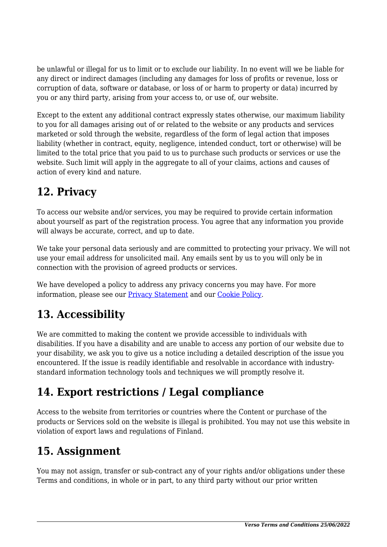be unlawful or illegal for us to limit or to exclude our liability. In no event will we be liable for any direct or indirect damages (including any damages for loss of profits or revenue, loss or corruption of data, software or database, or loss of or harm to property or data) incurred by you or any third party, arising from your access to, or use of, our website.

Except to the extent any additional contract expressly states otherwise, our maximum liability to you for all damages arising out of or related to the website or any products and services marketed or sold through the website, regardless of the form of legal action that imposes liability (whether in contract, equity, negligence, intended conduct, tort or otherwise) will be limited to the total price that you paid to us to purchase such products or services or use the website. Such limit will apply in the aggregate to all of your claims, actions and causes of action of every kind and nature.

# **12. Privacy**

To access our website and/or services, you may be required to provide certain information about yourself as part of the registration process. You agree that any information you provide will always be accurate, correct, and up to date.

We take your personal data seriously and are committed to protecting your privacy. We will not use your email address for unsolicited mail. Any emails sent by us to you will only be in connection with the provision of agreed products or services.

We have developed a policy to address any privacy concerns you may have. For more information, please see our [Privacy Statement](https://vegecafeverso.fi/privacy-policy/) and our [Cookie Policy](https://vegecafeverso.fi/cookie-policy-eu/).

## **13. Accessibility**

We are committed to making the content we provide accessible to individuals with disabilities. If you have a disability and are unable to access any portion of our website due to your disability, we ask you to give us a notice including a detailed description of the issue you encountered. If the issue is readily identifiable and resolvable in accordance with industrystandard information technology tools and techniques we will promptly resolve it.

## **14. Export restrictions / Legal compliance**

Access to the website from territories or countries where the Content or purchase of the products or Services sold on the website is illegal is prohibited. You may not use this website in violation of export laws and regulations of Finland.

### **15. Assignment**

You may not assign, transfer or sub-contract any of your rights and/or obligations under these Terms and conditions, in whole or in part, to any third party without our prior written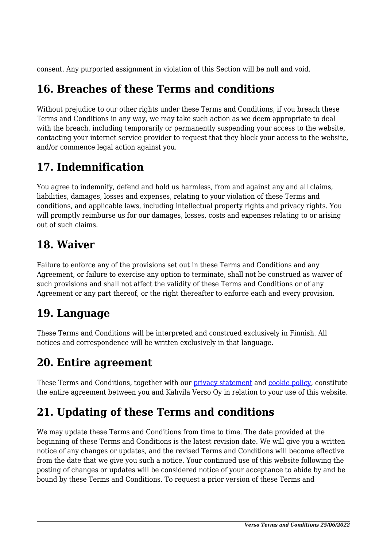consent. Any purported assignment in violation of this Section will be null and void.

### **16. Breaches of these Terms and conditions**

Without prejudice to our other rights under these Terms and Conditions, if you breach these Terms and Conditions in any way, we may take such action as we deem appropriate to deal with the breach, including temporarily or permanently suspending your access to the website, contacting your internet service provider to request that they block your access to the website, and/or commence legal action against you.

### **17. Indemnification**

You agree to indemnify, defend and hold us harmless, from and against any and all claims, liabilities, damages, losses and expenses, relating to your violation of these Terms and conditions, and applicable laws, including intellectual property rights and privacy rights. You will promptly reimburse us for our damages, losses, costs and expenses relating to or arising out of such claims.

#### **18. Waiver**

Failure to enforce any of the provisions set out in these Terms and Conditions and any Agreement, or failure to exercise any option to terminate, shall not be construed as waiver of such provisions and shall not affect the validity of these Terms and Conditions or of any Agreement or any part thereof, or the right thereafter to enforce each and every provision.

### **19. Language**

These Terms and Conditions will be interpreted and construed exclusively in Finnish. All notices and correspondence will be written exclusively in that language.

## **20. Entire agreement**

These Terms and Conditions, together with our [privacy statement](https://vegecafeverso.fi/privacy-policy/) and [cookie policy,](https://vegecafeverso.fi/cookie-policy-eu/) constitute the entire agreement between you and Kahvila Verso Oy in relation to your use of this website.

## **21. Updating of these Terms and conditions**

We may update these Terms and Conditions from time to time. The date provided at the beginning of these Terms and Conditions is the latest revision date. We will give you a written notice of any changes or updates, and the revised Terms and Conditions will become effective from the date that we give you such a notice. Your continued use of this website following the posting of changes or updates will be considered notice of your acceptance to abide by and be bound by these Terms and Conditions. To request a prior version of these Terms and